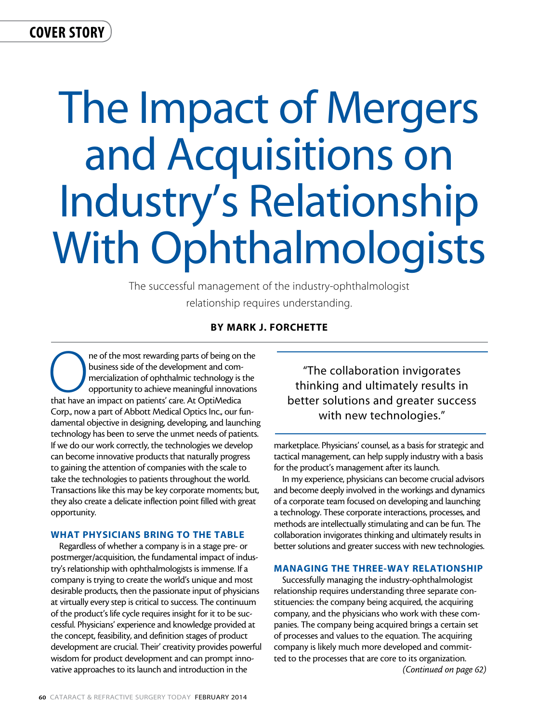# cover story

# The Impact of Mergers and Acquisitions on Industry's Relationship With Ophthalmologists

The successful management of the industry-ophthalmologist relationship requires understanding.

## By Mark J. Forchette

The of the most rewarding parts of being on the business side of the development and commercialization of ophthalmic technology is the opportunity to achieve meaningful innovations that have an impact on patients' care. At business side of the development and commercialization of ophthalmic technology is the opportunity to achieve meaningful innovations Corp., now a part of Abbott Medical Optics Inc., our fundamental objective in designing, developing, and launching technology has been to serve the unmet needs of patients. If we do our work correctly, the technologies we develop can become innovative products that naturally progress to gaining the attention of companies with the scale to take the technologies to patients throughout the world. Transactions like this may be key corporate moments; but, they also create a delicate inflection point filled with great opportunity.

#### WHAT PHYSICIANS BRING TO THE TABLE

Regardless of whether a company is in a stage pre- or postmerger/acquisition, the fundamental impact of industry's relationship with ophthalmologists is immense. If a company is trying to create the world's unique and most desirable products, then the passionate input of physicians at virtually every step is critical to success. The continuum of the product's life cycle requires insight for it to be successful. Physicians' experience and knowledge provided at the concept, feasibility, and definition stages of product development are crucial. Their' creativity provides powerful wisdom for product development and can prompt innovative approaches to its launch and introduction in the

"The collaboration invigorates thinking and ultimately results in better solutions and greater success with new technologies."

marketplace. Physicians' counsel, as a basis for strategic and tactical management, can help supply industry with a basis for the product's management after its launch.

In my experience, physicians can become crucial advisors and become deeply involved in the workings and dynamics of a corporate team focused on developing and launching a technology. These corporate interactions, processes, and methods are intellectually stimulating and can be fun. The collaboration invigorates thinking and ultimately results in better solutions and greater success with new technologies.

#### MANAGING THE THREE-WAY RELATIONSHIP

Successfully managing the industry-ophthalmologist relationship requires understanding three separate constituencies: the company being acquired, the acquiring company, and the physicians who work with these companies. The company being acquired brings a certain set of processes and values to the equation. The acquiring company is likely much more developed and committed to the processes that are core to its organization. *(Continued on page 62)*